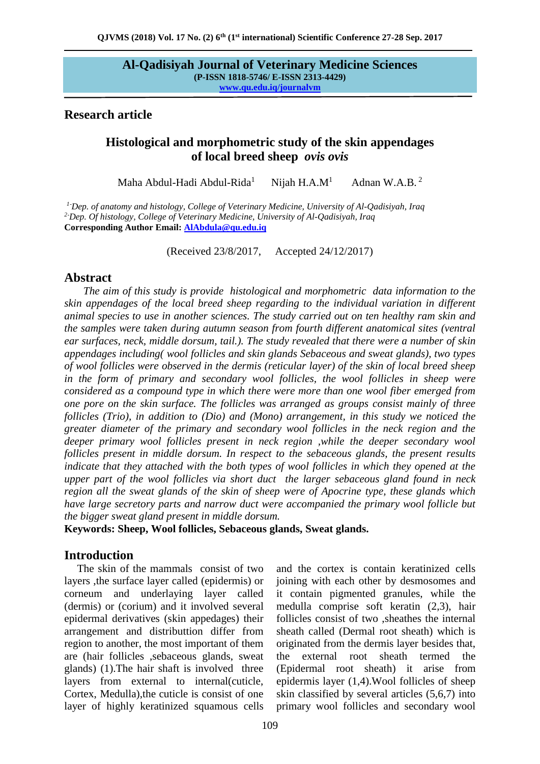## **Research article**

# **Histological and morphometric study of the skin appendages of local breed sheep** *ovis ovis*

Maha Abdul-Hadi Abdul-Rida<sup>1</sup> Nijah  $H.A.M<sup>1</sup>$ Adnan W.A.B. <sup>2</sup>

*<sup>1</sup>*-*Dep. of anatomy and histology, College of Veterinary Medicine, University of Al-Qadisiyah, Iraq <sup>2</sup>*-*Dep. Of histology, College of Veterinary Medicine, University of Al-Qadisiyah, Iraq* **Corresponding Author Email: [AlAbdula@qu.edu.iq](mailto:AlAbdula@qu.edu.iq)** 

(Received 23/8/2017, Accepted 24/12/2017)

# **Abstract**

 *The aim of this study is provide histological and morphometric data information to the skin appendages of the local breed sheep regarding to the individual variation in different animal species to use in another sciences. The study carried out on ten healthy ram skin and the samples were taken during autumn season from fourth different anatomical sites (ventral ear surfaces, neck, middle dorsum, tail.). The study revealed that there were a number of skin appendages including( wool follicles and skin glands Sebaceous and sweat glands), two types of wool follicles were observed in the dermis (reticular layer) of the skin of local breed sheep*  in the form of primary and secondary wool follicles, the wool follicles in sheep were *considered as a compound type in which there were more than one wool fiber emerged from one pore on the skin surface. The follicles was arranged as groups consist mainly of three follicles (Trio), in addition to (Dio) and (Mono) arrangement, in this study we noticed the greater diameter of the primary and secondary wool follicles in the neck region and the deeper primary wool follicles present in neck region ,while the deeper secondary wool follicles present in middle dorsum. In respect to the sebaceous glands, the present results indicate that they attached with the both types of wool follicles in which they opened at the upper part of the wool follicles via short duct the larger sebaceous gland found in neck region all the sweat glands of the skin of sheep were of Apocrine type, these glands which have large secretory parts and narrow duct were accompanied the primary wool follicle but the bigger sweat gland present in middle dorsum.*

**Keywords: Sheep, Wool follicles, Sebaceous glands, Sweat glands.**

# **Introduction**

The skin of the mammals consist of two layers ,the surface layer called (epidermis) or corneum and underlaying layer called (dermis) or (corium) and it involved several epidermal derivatives (skin appedages) their arrangement and distributtion differ from region to another, the most important of them are (hair follicles ,sebaceous glands, sweat glands) (1).The hair shaft is involved three layers from external to internal(cuticle, Cortex, Medulla),the cuticle is consist of one layer of highly keratinized squamous cells

and the cortex is contain keratinized cells joining with each other by desmosomes and it contain pigmented granules, while the medulla comprise soft keratin (2,3), hair follicles consist of two ,sheathes the internal sheath called (Dermal root sheath) which is originated from the dermis layer besides that, the external root sheath termed the (Epidermal root sheath) it arise from epidermis layer (1,4).Wool follicles of sheep skin classified by several articles (5,6,7) into primary wool follicles and secondary wool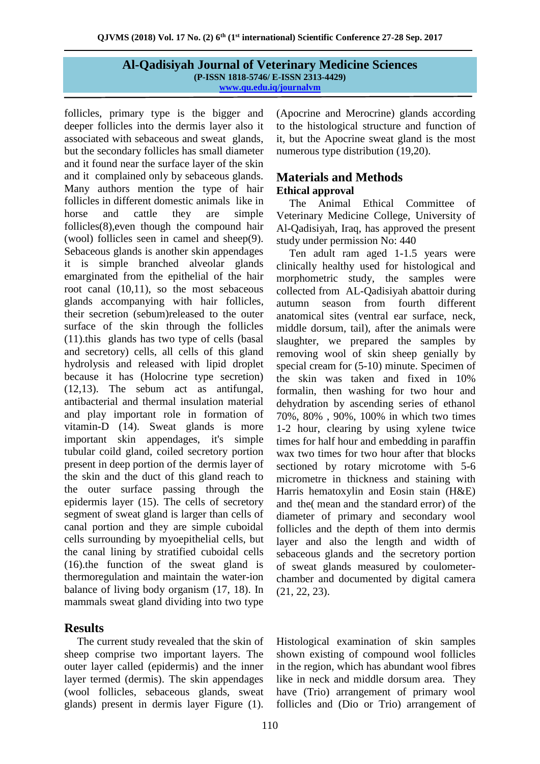follicles, primary type is the bigger and deeper follicles into the dermis layer also it associated with sebaceous and sweat glands, but the secondary follicles has small diameter and it found near the surface layer of the skin and it complained only by sebaceous glands. Many authors mention the type of hair follicles in different domestic animals like in horse and cattle they are simple follicles(8),even though the compound hair (wool) follicles seen in camel and sheep(9). Sebaceous glands is another skin appendages it is simple branched alveolar glands emarginated from the epithelial of the hair root canal (10,11), so the most sebaceous glands accompanying with hair follicles, their secretion (sebum)released to the outer surface of the skin through the follicles (11).this glands has two type of cells (basal and secretory) cells, all cells of this gland hydrolysis and released with lipid droplet because it has (Holocrine type secretion) (12,13). The sebum act as antifungal, antibacterial and thermal insulation material and play important role in formation of vitamin-D (14). Sweat glands is more important skin appendages, it's simple tubular coild gland, coiled secretory portion present in deep portion of the dermis layer of the skin and the duct of this gland reach to the outer surface passing through the epidermis layer (15). The cells of secretory segment of sweat gland is larger than cells of canal portion and they are simple cuboidal cells surrounding by myoepithelial cells, but the canal lining by stratified cuboidal cells (16).the function of the sweat gland is thermoregulation and maintain the water-ion balance of living body organism (17, 18). In mammals sweat gland dividing into two type

# **Results**

The current study revealed that the skin of sheep comprise two important layers. The outer layer called (epidermis) and the inner layer termed (dermis). The skin appendages (wool follicles, sebaceous glands, sweat glands) present in dermis layer Figure (1).

(Apocrine and Merocrine) glands according to the histological structure and function of it, but the Apocrine sweat gland is the most numerous type distribution (19,20).

# **Materials and Methods Ethical approval**

The Animal Ethical Committee of Veterinary Medicine College, University of Al-Qadisiyah, Iraq, has approved the present study under permission No: 440

Ten adult ram aged 1-1.5 years were clinically healthy used for histological and morphometric study, the samples were collected from AL-Qadisiyah abattoir during autumn season from fourth different anatomical sites (ventral ear surface, neck, middle dorsum, tail), after the animals were slaughter, we prepared the samples by removing wool of skin sheep genially by special cream for (5-10) minute. Specimen of the skin was taken and fixed in 10% formalin, then washing for two hour and dehydration by ascending series of ethanol 70%, 80% , 90%, 100% in which two times 1-2 hour, clearing by using xylene twice times for half hour and embedding in paraffin wax two times for two hour after that blocks sectioned by rotary microtome with 5-6 micrometre in thickness and staining with Harris hematoxylin and Eosin stain (H&E) and the( mean and the standard error) of the diameter of primary and secondary wool follicles and the depth of them into dermis layer and also the length and width of sebaceous glands and the secretory portion of sweat glands measured by coulometerchamber and documented by digital camera (21, 22, 23).

Histological examination of skin samples shown existing of compound wool follicles in the region, which has abundant wool fibres like in neck and middle dorsum area. They have (Trio) arrangement of primary wool follicles and (Dio or Trio) arrangement of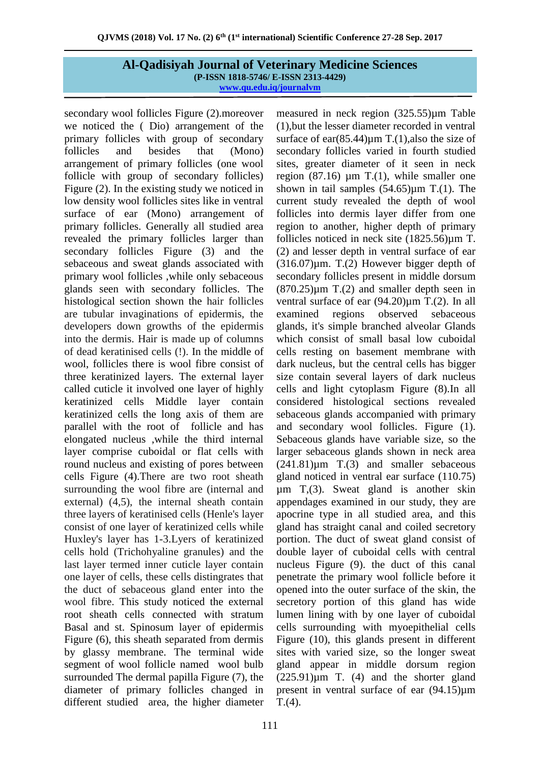secondary wool follicles Figure (2).moreover we noticed the ( Dio) arrangement of the primary follicles with group of secondary follicles and besides that (Mono) arrangement of primary follicles (one wool follicle with group of secondary follicles) Figure (2). In the existing study we noticed in low density wool follicles sites like in ventral surface of ear (Mono) arrangement of primary follicles. Generally all studied area revealed the primary follicles larger than secondary follicles Figure (3) and the sebaceous and sweat glands associated with primary wool follicles ,while only sebaceous glands seen with secondary follicles. The histological section shown the hair follicles are tubular invaginations of epidermis, the developers down growths of the epidermis into the dermis. Hair is made up of columns of dead keratinised cells (!). In the middle of wool, follicles there is wool fibre consist of three keratinized layers. The external layer called cuticle it involved one layer of highly keratinized cells Middle layer contain keratinized cells the long axis of them are parallel with the root of follicle and has elongated nucleus ,while the third internal layer comprise cuboidal or flat cells with round nucleus and existing of pores between cells Figure (4).There are two root sheath surrounding the wool fibre are (internal and external) (4,5), the internal sheath contain three layers of keratinised cells (Henle's layer consist of one layer of keratinized cells while Huxley's layer has 1-3.Lyers of keratinized cells hold (Trichohyaline granules) and the last layer termed inner cuticle layer contain one layer of cells, these cells distingrates that the duct of sebaceous gland enter into the wool fibre. This study noticed the external root sheath cells connected with stratum Basal and st. Spinosum layer of epidermis Figure (6), this sheath separated from dermis by glassy membrane. The terminal wide segment of wool follicle named wool bulb surrounded The dermal papilla Figure (7), the diameter of primary follicles changed in different studied area, the higher diameter

measured in neck region (325.55)µm Table (1),but the lesser diameter recorded in ventral surface of ear $(85.44)$ um T. $(1)$ , also the size of secondary follicles varied in fourth studied sites, greater diameter of it seen in neck region  $(87.16)$  µm T. $(1)$ , while smaller one shown in tail samples  $(54.65)\mu m$  T.(1). The current study revealed the depth of wool follicles into dermis layer differ from one region to another, higher depth of primary follicles noticed in neck site (1825.56)µm T. (2) and lesser depth in ventral surface of ear  $(316.07)\mu$ m. T. $(2)$  However bigger depth of secondary follicles present in middle dorsum  $(870.25)\mu m$  T.(2) and smaller depth seen in ventral surface of ear  $(94.20)\mu m$  T.(2). In all examined regions observed sebaceous glands, it's simple branched alveolar Glands which consist of small basal low cuboidal cells resting on basement membrane with dark nucleus, but the central cells has bigger size contain several layers of dark nucleus cells and light cytoplasm Figure (8).In all considered histological sections revealed sebaceous glands accompanied with primary and secondary wool follicles. Figure (1). Sebaceous glands have variable size, so the larger sebaceous glands shown in neck area  $(241.81)\mu m$  T.(3) and smaller sebaceous gland noticed in ventral ear surface (110.75) µm T,(3). Sweat gland is another skin appendages examined in our study, they are apocrine type in all studied area, and this gland has straight canal and coiled secretory portion. The duct of sweat gland consist of double layer of cuboidal cells with central nucleus Figure (9). the duct of this canal penetrate the primary wool follicle before it opened into the outer surface of the skin, the secretory portion of this gland has wide lumen lining with by one layer of cuboidal cells surrounding with myoepithelial cells Figure (10), this glands present in different sites with varied size, so the longer sweat gland appear in middle dorsum region  $(225.91)\mu m$  T. (4) and the shorter gland present in ventral surface of ear (94.15)µm T.(4).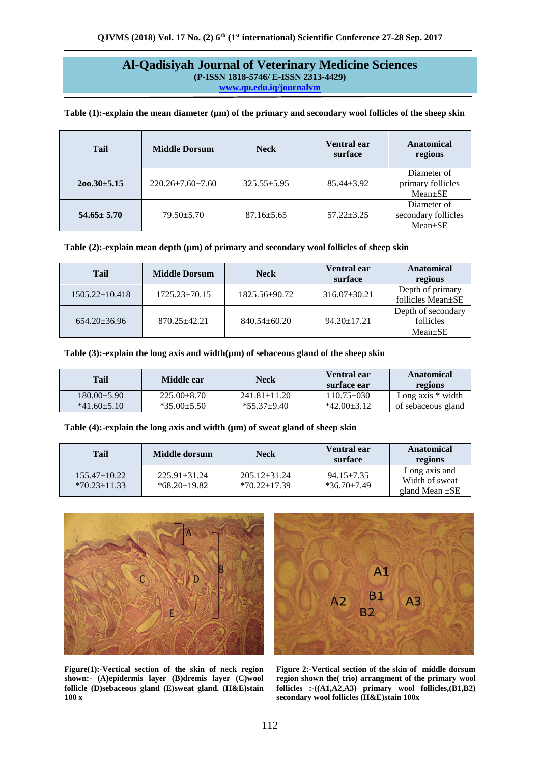| <b>Tail</b>       | <b>Middle Dorsum</b>       | <b>Neck</b>       | Ventral ear<br>surface | <b>Anatomical</b><br>regions                  |
|-------------------|----------------------------|-------------------|------------------------|-----------------------------------------------|
| $200.30 \pm 5.15$ | $220.26 \pm 7.60 \pm 7.60$ | $325.55 \pm 5.95$ | $85.44 + 3.92$         | Diameter of<br>primary follicles<br>Mean±SE   |
| $54.65 \pm 5.70$  | $79.50 + 5.70$             | $87.16 \pm 5.65$  | $57.22 + 3.25$         | Diameter of<br>secondary follicles<br>Mean±SE |

Table (1):-explain the mean diameter ( $\mu$ m) of the primary and secondary wool follicles of the sheep skin

| Table $(2)$ :-explain mean depth $(\mu m)$ of primary and secondary wool follicles of sheep skin |  |  |  |  |
|--------------------------------------------------------------------------------------------------|--|--|--|--|
|--------------------------------------------------------------------------------------------------|--|--|--|--|

| Tail                 | <b>Middle Dorsum</b> | <b>Neck</b>        | <b>Ventral ear</b><br>surface | Anatomical<br>regions                            |
|----------------------|----------------------|--------------------|-------------------------------|--------------------------------------------------|
| $1505.22 \pm 10.418$ | $1725.23 \pm 70.15$  | 1825.56±90.72      | $316.07 \pm 30.21$            | Depth of primary<br>follicles Mean $\pm$ SE      |
| $654.20 \pm 36.96$   | $870.25 + 42.21$     | $840.54 \pm 60.20$ | $94.20 \pm 17.21$             | Depth of secondary<br>follicles<br>$Mean \pm SE$ |

Table (3):-explain the long axis and width( $\mu$ m) of sebaceous gland of the sheep skin

| <b>Tail</b>       | Middle ear        | Neck               | Ventral ear<br>surface ear | Anatomical<br>regions |
|-------------------|-------------------|--------------------|----------------------------|-----------------------|
| $180.00+5.90$     | $225.00 \pm 8.70$ | $241.81 \pm 11.20$ | $110.75 \pm 0.30$          | Long axis $*$ width   |
| $*41.60 \pm 5.10$ | $*35.00 \pm 5.50$ | $*55.37+9.40$      | $*42.00 \pm 3.12$          | of sebaceous gland    |

#### Table (4):-explain the long axis and width ( $\mu$ m) of sweat gland of sheep skin

| Tail                               | Middle dorsum                      | <b>Neck</b>                        | Ventral ear<br>surface            | Anatomical<br>regions                                  |
|------------------------------------|------------------------------------|------------------------------------|-----------------------------------|--------------------------------------------------------|
| $155.47+10.22$<br>$*70.23 + 11.33$ | $225.91 + 31.24$<br>$*68.20+19.82$ | $205.12 + 31.24$<br>$*70.22+17.39$ | $94.15 \pm 7.35$<br>$*36.70+7.49$ | Long axis and<br>Width of sweat<br>gland Mean $\pm$ SE |





**Figure(1):-Vertical section of the skin of neck region shown:- (A)epidermis layer (B)dremis layer (C)wool follicle (D)sebaceous gland (E)sweat gland. (H&E)stain 100 x**

**Figure 2:-Vertical section of the skin of middle dorsum region shown the( trio) arrangment of the primary wool follicles :-((A1,A2,A3) primary wool follicles,(B1,B2) secondary wool follicles (H&E)stain 100x**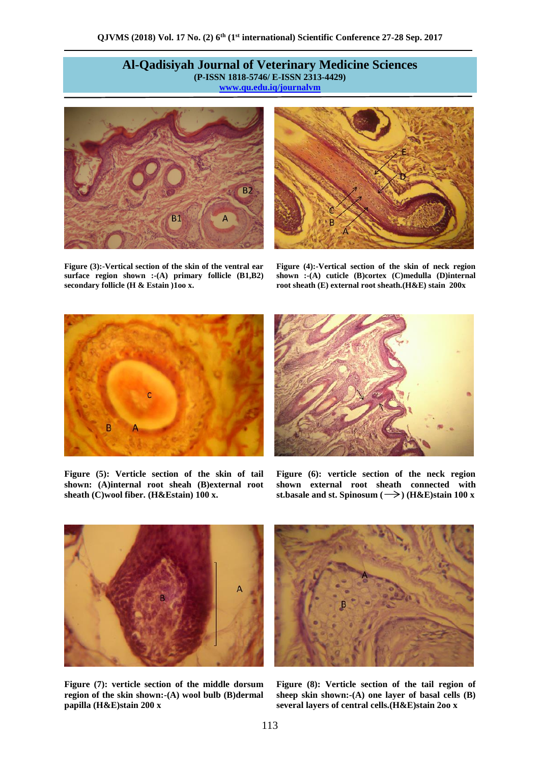

**Figure (3):-Vertical section of the skin of the ventral ear surface region shown :-(A) primary follicle (B1,B2) secondary follicle (H & Estain )1oo x.** 



**Figure (4):-Vertical section of the skin of neck region shown :-(A) cuticle (B)cortex (C)medulla (D)internal root sheath (E) external root sheath.(H&E) stain 200x**



**Figure (5): Verticle section of the skin of tail shown: (A)internal root sheah (B)external root sheath (C)wool fiber. (H&Estain) 100 x.**



**Figure (6): verticle section of the neck region shown external root sheath connected with st.basale and st. Spinosum (** $\rightarrow$ **) (H&E)stain 100 x** 



**Figure (7): verticle section of the middle dorsum region of the skin shown:-(A) wool bulb (B)dermal papilla (H&E)stain 200 x**



**Figure (8): Verticle section of the tail region of sheep skin shown:-(A) one layer of basal cells (B) several layers of central cells.(H&E)stain 2oo x**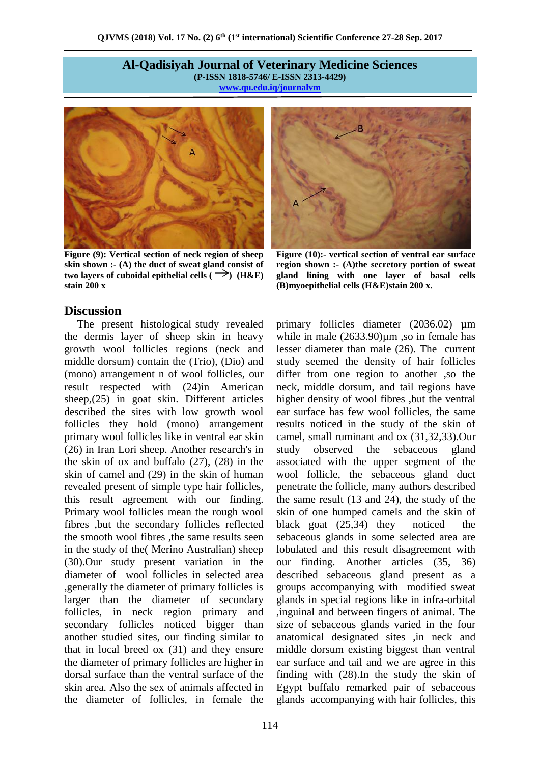

**Figure (9): Vertical section of neck region of sheep skin shown :- (A) the duct of sweat gland consist of two layers of cuboidal epithelial cells (** $\rightarrow$ **) (H&E) stain 200 x**

## **Discussion**

The present histological study revealed the dermis layer of sheep skin in heavy growth wool follicles regions (neck and middle dorsum) contain the (Trio), (Dio) and (mono) arrangement n of wool follicles, our result respected with (24)in American sheep,(25) in goat skin. Different articles described the sites with low growth wool follicles they hold (mono) arrangement primary wool follicles like in ventral ear skin (26) in Iran Lori sheep. Another research's in the skin of ox and buffalo (27), (28) in the skin of camel and (29) in the skin of human revealed present of simple type hair follicles, this result agreement with our finding. Primary wool follicles mean the rough wool fibres ,but the secondary follicles reflected the smooth wool fibres ,the same results seen in the study of the( Merino Australian) sheep (30).Our study present variation in the diameter of wool follicles in selected area ,generally the diameter of primary follicles is larger than the diameter of secondary follicles, in neck region primary and secondary follicles noticed bigger than another studied sites, our finding similar to that in local breed ox (31) and they ensure the diameter of primary follicles are higher in dorsal surface than the ventral surface of the skin area. Also the sex of animals affected in the diameter of follicles, in female the



**Figure (10):- vertical section of ventral ear surface region shown :- (A)the secretory portion of sweat gland lining with one layer of basal cells (B)myoepithelial cells (H&E)stain 200 x.**

primary follicles diameter (2036.02)  $\mu$ m while in male (2633.90) $\mu$ m ,so in female has lesser diameter than male (26). The current study seemed the density of hair follicles differ from one region to another ,so the neck, middle dorsum, and tail regions have higher density of wool fibres ,but the ventral ear surface has few wool follicles, the same results noticed in the study of the skin of camel, small ruminant and ox (31,32,33).Our study observed the sebaceous gland associated with the upper segment of the wool follicle, the sebaceous gland duct penetrate the follicle, many authors described the same result (13 and 24), the study of the skin of one humped camels and the skin of black goat (25,34) they noticed the sebaceous glands in some selected area are lobulated and this result disagreement with our finding. Another articles (35, 36) described sebaceous gland present as a groups accompanying with modified sweat glands in special regions like in infra-orbital ,inguinal and between fingers of animal. The size of sebaceous glands varied in the four anatomical designated sites ,in neck and middle dorsum existing biggest than ventral ear surface and tail and we are agree in this finding with (28).In the study the skin of Egypt buffalo remarked pair of sebaceous glands accompanying with hair follicles, this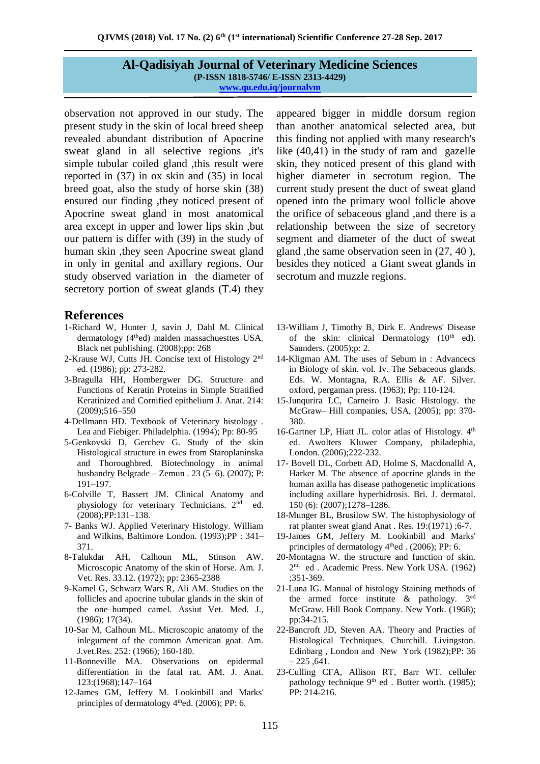observation not approved in our study. The present study in the skin of local breed sheep revealed abundant distribution of Apocrine sweat gland in all selective regions ,it's simple tubular coiled gland ,this result were reported in (37) in ox skin and (35) in local breed goat, also the study of horse skin (38) ensured our finding ,they noticed present of Apocrine sweat gland in most anatomical area except in upper and lower lips skin ,but our pattern is differ with (39) in the study of human skin ,they seen Apocrine sweat gland in only in genital and axillary regions. Our study observed variation in the diameter of secretory portion of sweat glands (T.4) they

## **References**

- 1-Richard W, Hunter J, savin J, Dahl M. Clinical dermatology (4<sup>th</sup>ed) malden massachuesttes USA. Black net publishing. (2008);pp: 268
- 2-Krause WJ, Cutts JH. Concise text of Histology 2nd ed. (1986); pp: 273-282.
- 3-Bragulla HH, Hombergwer DG. Structure and Functions of Keratin Proteins in Simple Stratified Keratinized and Cornified epithelium J. Anat. 214: (2009);516–550
- 4-Dellmann HD. Textbook of Veterinary histology . Lea and Fiebiger. Philadelphia. (1994); Pp: 80-95
- 5-Genkovski D, Gerchev G. Study of the skin Histological structure in ewes from Staroplaninska and Thoroughbred. Biotechnology in animal husbandry Belgrade – Zemun . 23 (5–6). (2007); P: 191–197.
- 6-Colville T, Bassert JM. Clinical Anatomy and physiology for veterinary Technicians. 2<sup>nd</sup> ed. (2008);PP:131–138.
- 7- Banks WJ. Applied Veterinary Histology. William and Wilkins, Baltimore London. (1993);PP : 341– 371.
- 8-Talukdar AH, Calhoun ML, Stinson AW. Microscopic Anatomy of the skin of Horse. Am. J. Vet. Res. 33.12. (1972); pp: 2365-2388
- 9-Kamel G, Schwarz Wars R, Ali AM. Studies on the follicles and apocrine tubular glands in the skin of the one–humped camel. Assiut Vet. Med. J., (1986); 17(34).
- 10-Sar M, Calhoun ML. Microscopic anatomy of the inlegument of the common American goat. Am. J.vet.Res. 252: (1966); 160-180.
- 11-Bonneville MA. Observations on epidermal differentiation in the fatal rat. AM. J. Anat. 123:(1968);147–164
- 12-James GM, Jeffery M. Lookinbill and Marks' principles of dermatology 4<sup>th</sup>ed. (2006); PP: 6.

appeared bigger in middle dorsum region than another anatomical selected area, but this finding not applied with many research's like (40,41) in the study of ram and gazelle skin, they noticed present of this gland with higher diameter in secrotum region. The current study present the duct of sweat gland opened into the primary wool follicle above the orifice of sebaceous gland ,and there is a relationship between the size of secretory segment and diameter of the duct of sweat gland ,the same observation seen in (27, 40 ), besides they noticed a Giant sweat glands in secrotum and muzzle regions.

- 13-William J, Timothy B, Dirk E. Andrews' Disease of the skin: clinical Dermatology  $(10<sup>th</sup>$  ed). Saunders. (2005);p: 2.
- 14-Kligman AM. The uses of Sebum in : Advancecs in Biology of skin. vol. Iv. The Sebaceous glands. Eds. W. Montagna, R.A. Ellis & AF. Silver. oxford, pergaman press. (1963); Pp: 110-124.
- 15-Junqurira LC, Carneiro J. Basic Histology. the McGraw– Hill companies, USA, (2005); pp: 370- 380.
- 16-Gartner LP, Hiatt JL. color atlas of Histology. 4<sup>th</sup> ed. Awolters Kluwer Company, philadephia, London. (2006);222-232.
- 17- Bovell DL, Corbett AD, Holme S, Macdonalld A, Harker M. The absence of apocrine glands in the human axilla has disease pathogenetic implications including axillare hyperhidrosis. Bri. J. dermatol. 150 (6): (2007);1278–1286.
- 18-Munger BL, Brusilow SW. The histophysiology of rat planter sweat gland Anat . Res. 19:(1971) ;6-7.
- 19-James GM, Jeffery M. Lookinbill and Marks' principles of dermatology  $4<sup>th</sup>$ ed . (2006); PP: 6.
- 20-Montagna W. the structure and function of skin. 2 nd ed . Academic Press. New York USA. (1962) ;351-369.
- 21-Luna IG. Manual of histology Staining methods of the armed force institute  $\&$  pathology. 3<sup>ed</sup> McGraw. Hill Book Company. New York. (1968); pp:34-215.
- 22-Bancroft JD, Steven AA. Theory and Practies of Histological Techniques. Churchill. Livingston. Edinbarg , London and New York (1982);PP: 36  $-225.641.$
- 23-Culling CFA, Allison RT, Barr WT. celluler pathology technique  $9<sup>th</sup>$  ed . Butter worth. (1985); PP: 214-216.